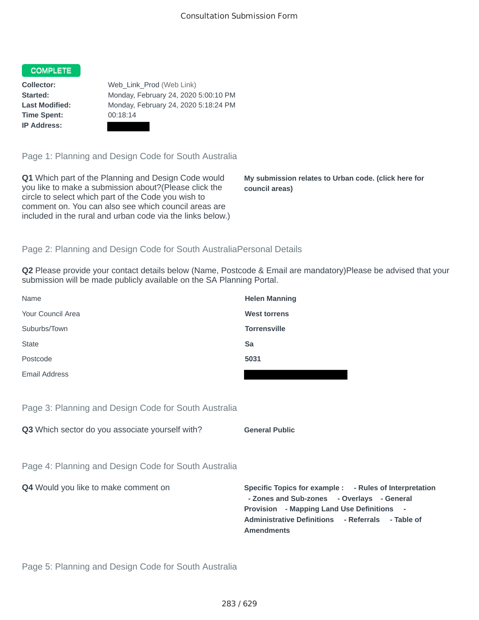## **COMPLETE**

**Time Spent:** 00:18:14 **IP Address:**

**Collector:** Web Link Prod (Web Link) **Started:** Monday, February 24, 2020 5:00:10 PM **Last Modified:** Monday, February 24, 2020 5:18:24 PM

Page 1: Planning and Design Code for South Australia

**Q1** Which part of the Planning and Design Code would you like to make a submission about?(Please click the circle to select which part of the Code you wish to comment on. You can also see which council areas are included in the rural and urban code via the links below.)

**My submission relates to Urban code. (click here for council areas)**

## Page 2: Planning and Design Code for South AustraliaPersonal Details

**Q2** Please provide your contact details below (Name, Postcode & Email are mandatory)Please be advised that your submission will be made publicly available on the SA Planning Portal.

| Name              | <b>Helen Manning</b> |
|-------------------|----------------------|
| Your Council Area | <b>West torrens</b>  |
| Suburbs/Town      | <b>Torrensville</b>  |
| <b>State</b>      | Sa                   |
| Postcode          | 5031                 |
| Email Address     |                      |

Page 3: Planning and Design Code for South Australia

**Q3** Which sector do you associate yourself with? **General Public** 

Page 4: Planning and Design Code for South Australia

**Q4** Would you like to make comment on **Specific Topics for example : - Rules of Interpretation - Zones and Sub-zones - Overlays - General Provision - Mapping Land Use Definitions - Administrative Definitions - Referrals - Table of Amendments**

Page 5: Planning and Design Code for South Australia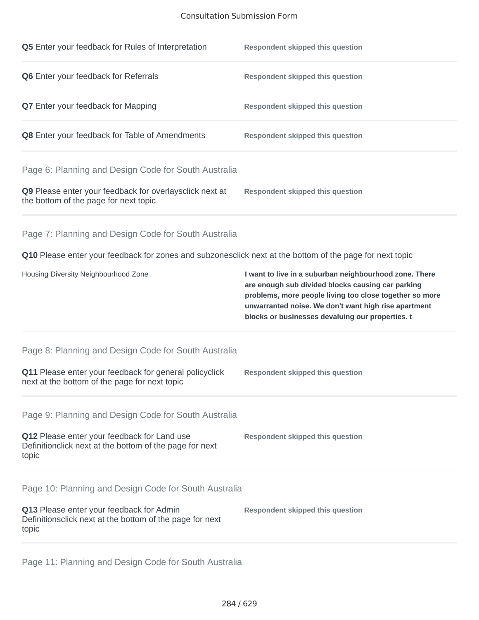## Consultation Submission Form

| Q6 Enter your feedback for Referrals<br><b>Respondent skipped this question</b><br>Q7 Enter your feedback for Mapping<br><b>Respondent skipped this question</b><br>Q8 Enter your feedback for Table of Amendments<br><b>Respondent skipped this question</b><br>Page 6: Planning and Design Code for South Australia<br>Q9 Please enter your feedback for overlaysclick next at<br><b>Respondent skipped this question</b><br>the bottom of the page for next topic<br>Page 7: Planning and Design Code for South Australia<br>Q10 Please enter your feedback for zones and subzonesclick next at the bottom of the page for next topic<br>Housing Diversity Neighbourhood Zone<br>I want to live in a suburban neighbourhood zone. There<br>are enough sub divided blocks causing car parking<br>problems, more people living too close together so more<br>unwarranted noise. We don't want high rise apartment<br>blocks or businesses devaluing our properties. t<br>Page 8: Planning and Design Code for South Australia<br>Q11 Please enter your feedback for general policyclick<br><b>Respondent skipped this question</b><br>next at the bottom of the page for next topic<br>Page 9: Planning and Design Code for South Australia<br>Q12 Please enter your feedback for Land use<br><b>Respondent skipped this question</b><br>Definitionclick next at the bottom of the page for next<br>topic<br>Page 10: Planning and Design Code for South Australia<br>Q13 Please enter your feedback for Admin<br><b>Respondent skipped this question</b><br>Definitionsclick next at the bottom of the page for next<br>topic | Q5 Enter your feedback for Rules of Interpretation | <b>Respondent skipped this question</b> |
|---------------------------------------------------------------------------------------------------------------------------------------------------------------------------------------------------------------------------------------------------------------------------------------------------------------------------------------------------------------------------------------------------------------------------------------------------------------------------------------------------------------------------------------------------------------------------------------------------------------------------------------------------------------------------------------------------------------------------------------------------------------------------------------------------------------------------------------------------------------------------------------------------------------------------------------------------------------------------------------------------------------------------------------------------------------------------------------------------------------------------------------------------------------------------------------------------------------------------------------------------------------------------------------------------------------------------------------------------------------------------------------------------------------------------------------------------------------------------------------------------------------------------------------------------------------------------------------------------------------------------------|----------------------------------------------------|-----------------------------------------|
|                                                                                                                                                                                                                                                                                                                                                                                                                                                                                                                                                                                                                                                                                                                                                                                                                                                                                                                                                                                                                                                                                                                                                                                                                                                                                                                                                                                                                                                                                                                                                                                                                                 |                                                    |                                         |
|                                                                                                                                                                                                                                                                                                                                                                                                                                                                                                                                                                                                                                                                                                                                                                                                                                                                                                                                                                                                                                                                                                                                                                                                                                                                                                                                                                                                                                                                                                                                                                                                                                 |                                                    |                                         |
|                                                                                                                                                                                                                                                                                                                                                                                                                                                                                                                                                                                                                                                                                                                                                                                                                                                                                                                                                                                                                                                                                                                                                                                                                                                                                                                                                                                                                                                                                                                                                                                                                                 |                                                    |                                         |
|                                                                                                                                                                                                                                                                                                                                                                                                                                                                                                                                                                                                                                                                                                                                                                                                                                                                                                                                                                                                                                                                                                                                                                                                                                                                                                                                                                                                                                                                                                                                                                                                                                 |                                                    |                                         |
|                                                                                                                                                                                                                                                                                                                                                                                                                                                                                                                                                                                                                                                                                                                                                                                                                                                                                                                                                                                                                                                                                                                                                                                                                                                                                                                                                                                                                                                                                                                                                                                                                                 |                                                    |                                         |
|                                                                                                                                                                                                                                                                                                                                                                                                                                                                                                                                                                                                                                                                                                                                                                                                                                                                                                                                                                                                                                                                                                                                                                                                                                                                                                                                                                                                                                                                                                                                                                                                                                 |                                                    |                                         |
|                                                                                                                                                                                                                                                                                                                                                                                                                                                                                                                                                                                                                                                                                                                                                                                                                                                                                                                                                                                                                                                                                                                                                                                                                                                                                                                                                                                                                                                                                                                                                                                                                                 |                                                    |                                         |
|                                                                                                                                                                                                                                                                                                                                                                                                                                                                                                                                                                                                                                                                                                                                                                                                                                                                                                                                                                                                                                                                                                                                                                                                                                                                                                                                                                                                                                                                                                                                                                                                                                 |                                                    |                                         |
|                                                                                                                                                                                                                                                                                                                                                                                                                                                                                                                                                                                                                                                                                                                                                                                                                                                                                                                                                                                                                                                                                                                                                                                                                                                                                                                                                                                                                                                                                                                                                                                                                                 |                                                    |                                         |
|                                                                                                                                                                                                                                                                                                                                                                                                                                                                                                                                                                                                                                                                                                                                                                                                                                                                                                                                                                                                                                                                                                                                                                                                                                                                                                                                                                                                                                                                                                                                                                                                                                 |                                                    |                                         |